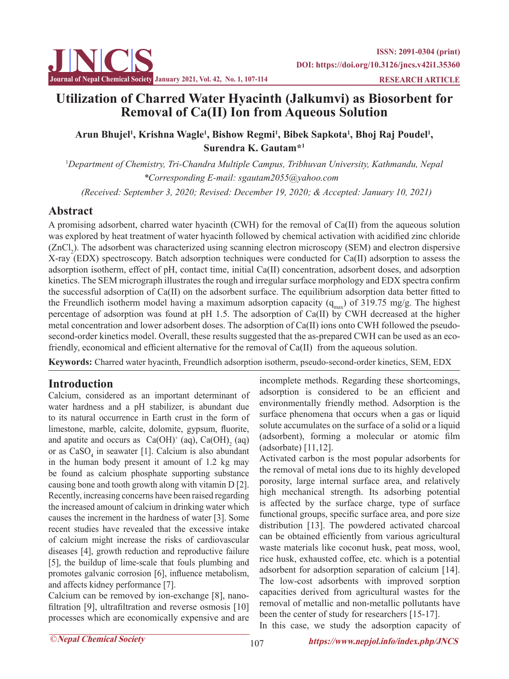

# **Utilization of Charred Water Hyacinth (Jalkumvi) as Biosorbent for Removal of Ca(II) Ion from Aqueous Solution**

Arun Bhujel<sup>1</sup>, Krishna Wagle<sup>1</sup>, Bishow Regmi<sup>1</sup>, Bibek Sapkota<sup>1</sup>, Bhoj Raj Poudel<sup>1</sup>, **Surendra K. Gautam\*1**

1 *Department of Chemistry, Tri-Chandra Multiple Campus, Tribhuvan University, Kathmandu, Nepal \*Corresponding E-mail: sgautam2055@yahoo.com*

 *(Received: September 3, 2020; Revised: December 19, 2020; & Accepted: January 10, 2021)*

# **Abstract**

A promising adsorbent, charred water hyacinth (CWH) for the removal of Ca(II) from the aqueous solution was explored by heat treatment of water hyacinth followed by chemical activation with acidified zinc chloride  $(ZnCl<sub>2</sub>)$ . The adsorbent was characterized using scanning electron microscopy (SEM) and electron dispersive X-ray (EDX) spectroscopy. Batch adsorption techniques were conducted for Ca(II) adsorption to assess the adsorption isotherm, effect of pH, contact time, initial Ca(II) concentration, adsorbent doses, and adsorption kinetics. The SEM micrograph illustrates the rough and irregular surface morphology and EDX spectra confirm the successful adsorption of Ca(II) on the adsorbent surface. The equilibrium adsorption data better fitted to the Freundlich isotherm model having a maximum adsorption capacity  $(q_{\text{max}})$  of 319.75 mg/g. The highest percentage of adsorption was found at pH 1.5. The adsorption of Ca(II) by CWH decreased at the higher metal concentration and lower adsorbent doses. The adsorption of Ca(II) ions onto CWH followed the pseudosecond-order kinetics model. Overall, these results suggested that the as-prepared CWH can be used as an ecofriendly, economical and efficient alternative for the removal of Ca(II) from the aqueous solution.

**Keywords:** Charred water hyacinth, Freundlich adsorption isotherm, pseudo-second-order kinetics, SEM, EDX

# **Introduction**

Calcium, considered as an important determinant of water hardness and a pH stabilizer, is abundant due to its natural occurrence in Earth crust in the form of limestone, marble, calcite, dolomite, gypsum, fluorite, and apatite and occurs as  $Ca(OH)^{+}$  (aq),  $Ca(OH)_{2}$  (aq) or as  $CaSO<sub>4</sub>$  in seawater [1]. Calcium is also abundant in the human body present it amount of 1.2 kg may be found as calcium phosphate supporting substance causing bone and tooth growth along with vitamin D [2]. Recently, increasing concerns have been raised regarding the increased amount of calcium in drinking water which causes the increment in the hardness of water [3]. Some recent studies have revealed that the excessive intake of calcium might increase the risks of cardiovascular diseases [4], growth reduction and reproductive failure [5], the buildup of lime-scale that fouls plumbing and promotes galvanic corrosion [6], influence metabolism, and affects kidney performance [7].

Calcium can be removed by ion-exchange [8], nanofiltration [9], ultrafiltration and reverse osmosis [10] processes which are economically expensive and are

incomplete methods. Regarding these shortcomings, adsorption is considered to be an efficient and environmentally friendly method. Adsorption is the surface phenomena that occurs when a gas or liquid solute accumulates on the surface of a solid or a liquid (adsorbent), forming a molecular or atomic film (adsorbate) [11,12].

Activated carbon is the most popular adsorbents for the removal of metal ions due to its highly developed porosity, large internal surface area, and relatively high mechanical strength. Its adsorbing potential is affected by the surface charge, type of surface functional groups, specific surface area, and pore size distribution [13]. The powdered activated charcoal can be obtained efficiently from various agricultural waste materials like coconut husk, peat moss, wool, rice husk, exhausted coffee, etc. which is a potential adsorbent for adsorption separation of calcium [14]. The low-cost adsorbents with improved sorption capacities derived from agricultural wastes for the removal of metallic and non-metallic pollutants have been the center of study for researchers [15-17]. In this case, we study the adsorption capacity of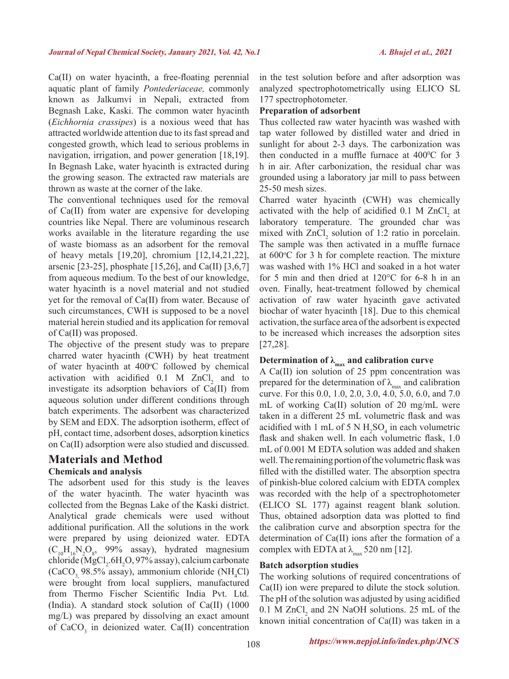Ca(II) on water hyacinth, a free-floating perennial aquatic plant of family *Pontederiaceae,* commonly known as Jalkumvi in Nepali, extracted from Begnash Lake, Kaski. The common water hyacinth (*Eichhornia crassipes*) is a noxious weed that has attracted worldwide attention due to its fast spread and congested growth, which lead to serious problems in navigation, irrigation, and power generation [18,19]. In Begnash Lake, water hyacinth is extracted during the growing season. The extracted raw materials are thrown as waste at the corner of the lake.

The conventional techniques used for the removal of Ca(II) from water are expensive for developing countries like Nepal. There are voluminous research works available in the literature regarding the use of waste biomass as an adsorbent for the removal of heavy metals [19,20], chromium [12,14,21,22], arsenic [23-25], phosphate [15,26], and Ca(II) [3,6,7] from aqueous medium. To the best of our knowledge, water hyacinth is a novel material and not studied yet for the removal of Ca(II) from water. Because of such circumstances, CWH is supposed to be a novel material herein studied and its application for removal of Ca(II) was proposed.

The objective of the present study was to prepare charred water hyacinth (CWH) by heat treatment of water hyacinth at 400°C followed by chemical activation with acidified  $0.1$  M  $ZnCl<sub>2</sub>$  and to investigate its adsorption behaviors of Ca(II) from aqueous solution under different conditions through batch experiments. The adsorbent was characterized by SEM and EDX. The adsorption isotherm, effect of pH, contact time, adsorbent doses, adsorption kinetics on Ca(II) adsorption were also studied and discussed.

## **Materials and Method Chemicals and analysis**

The adsorbent used for this study is the leaves of the water hyacinth. The water hyacinth was collected from the Begnas Lake of the Kaski district. Analytical grade chemicals were used without additional purification. All the solutions in the work were prepared by using deionized water. EDTA  $(C_{10}H_{16}N_2O_8, 99\%$  assay), hydrated magnesium  $\text{chloride}(\text{MgCl}_2, 6\text{H}_2\text{O}, 97\% \text{ assay})$ , calcium carbonate  $(CaCO<sub>3</sub>, 98.5\%$  assay), ammonium chloride (NH<sub>4</sub>Cl) were brought from local suppliers, manufactured from Thermo Fischer Scientific India Pvt. Ltd. (India). A standard stock solution of Ca(II) (1000 mg/L) was prepared by dissolving an exact amount of  $CaCO<sub>3</sub>$  in deionized water. Ca(II) concentration in the test solution before and after adsorption was analyzed spectrophotometrically using ELICO SL 177 spectrophotometer.

### **Preparation of adsorbent**

Thus collected raw water hyacinth was washed with tap water followed by distilled water and dried in sunlight for about 2-3 days. The carbonization was then conducted in a muffle furnace at  $400^{\circ}$ C for 3 h in air. After carbonization, the residual char was grounded using a laboratory jar mill to pass between 25-50 mesh sizes.

Charred water hyacinth (CWH) was chemically activated with the help of acidified  $0.1$  M ZnCl<sub>2</sub> at laboratory temperature. The grounded char was mixed with  $ZnCl_2$  solution of 1:2 ratio in porcelain. The sample was then activated in a muffle furnace at 600°C for 3 h for complete reaction. The mixture was washed with 1% HCl and soaked in a hot water for 5 min and then dried at 120°C for 6-8 h in an oven. Finally, heat-treatment followed by chemical activation of raw water hyacinth gave activated biochar of water hyacinth [18]. Due to this chemical activation, the surface area of the adsorbent is expected to be increased which increases the adsorption sites [27,28].

# Determination of  $\lambda_{\text{max}}$  and calibration curve

A Ca(II) ion solution of 25 ppm concentration was prepared for the determination of  $\lambda_{\text{max}}$  and calibration curve. For this 0.0, 1.0, 2.0, 3.0, 4.0, 5.0, 6.0, and 7.0 mL of working Ca(II) solution of 20 mg/mL were taken in a different 25 mL volumetric flask and was acidified with 1 mL of 5 N  $H_2SO_4$  in each volumetric flask and shaken well. In each volumetric flask, 1.0 mL of 0.001 M EDTA solution was added and shaken well. The remaining portion of the volumetric flask was filled with the distilled water. The absorption spectra of pinkish-blue colored calcium with EDTA complex was recorded with the help of a spectrophotometer (ELICO SL 177) against reagent blank solution. Thus, obtained adsorption data was plotted to find the calibration curve and absorption spectra for the determination of Ca(II) ions after the formation of a complex with EDTA at  $\lambda_{\text{max}}$  520 nm [12].

#### **Batch adsorption studies**

The working solutions of required concentrations of Ca(II) ion were prepared to dilute the stock solution. The pH of the solution was adjusted by using acidified  $0.1$  M ZnCl<sub>2</sub> and 2N NaOH solutions. 25 mL of the known initial concentration of Ca(II) was taken in a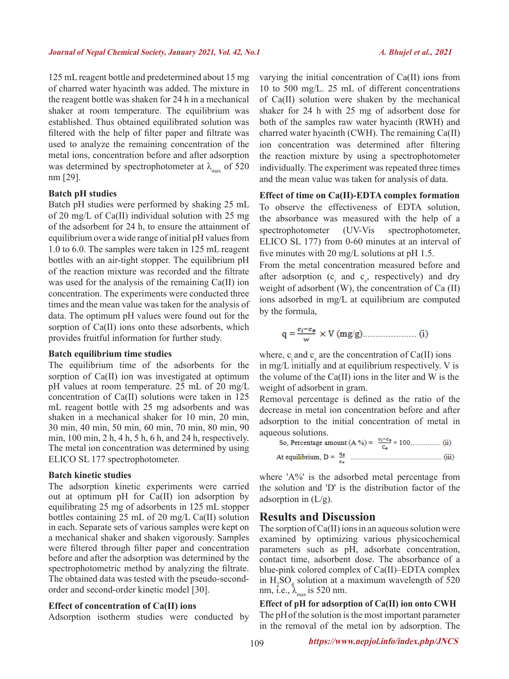125 mL reagent bottle and predetermined about 15 mg of charred water hyacinth was added. The mixture in the reagent bottle was shaken for 24 h in a mechanical shaker at room temperature. The equilibrium was established. Thus obtained equilibrated solution was filtered with the help of filter paper and filtrate was used to analyze the remaining concentration of the metal ions, concentration before and after adsorption was determined by spectrophotometer at  $\lambda_{\text{max}}$  of 520 nm [29].

#### **Batch pH studies**

Batch pH studies were performed by shaking 25 mL of 20 mg/L of Ca(II) individual solution with 25 mg of the adsorbent for 24 h, to ensure the attainment of equilibrium over a wide range of initial pH values from 1.0 to 6.0. The samples were taken in 125 mL reagent bottles with an air-tight stopper. The equilibrium pH of the reaction mixture was recorded and the filtrate was used for the analysis of the remaining Ca(II) ion concentration. The experiments were conducted three times and the mean value was taken for the analysis of data. The optimum pH values were found out for the sorption of Ca(II) ions onto these adsorbents, which provides fruitful information for further study.

#### **Batch equilibrium time studies**

The equilibrium time of the adsorbents for the sorption of Ca(II) ion was investigated at optimum pH values at room temperature. 25 mL of 20 mg/L concentration of Ca(II) solutions were taken in 125 mL reagent bottle with 25 mg adsorbents and was shaken in a mechanical shaker for 10 min, 20 min, 30 min, 40 min, 50 min, 60 min, 70 min, 80 min, 90 min, 100 min, 2 h, 4 h, 5 h, 6 h, and 24 h, respectively. The metal ion concentration was determined by using ELICO SL 177 spectrophotometer.

#### **Batch kinetic studies**

The adsorption kinetic experiments were carried out at optimum pH for Ca(II) ion adsorption by equilibrating 25 mg of adsorbents in 125 mL stopper bottles containing 25 mL of 20 mg/L Ca(II) solution in each. Separate sets of various samples were kept on a mechanical shaker and shaken vigorously. Samples were filtered through filter paper and concentration before and after the adsorption was determined by the spectrophotometric method by analyzing the filtrate. The obtained data was tested with the pseudo-secondorder and second-order kinetic model [30].

#### **Effect of concentration of Ca(II) ions**

Adsorption isotherm studies were conducted by

varying the initial concentration of Ca(II) ions from 10 to 500 mg/L. 25 mL of different concentrations of Ca(II) solution were shaken by the mechanical shaker for 24 h with 25 mg of adsorbent dose for both of the samples raw water hyacinth (RWH) and charred water hyacinth (CWH). The remaining Ca(II) ion concentration was determined after filtering the reaction mixture by using a spectrophotometer individually. The experiment was repeated three times and the mean value was taken for analysis of data.

#### **Effect of time on Ca(II)-EDTA complex formation**

To observe the effectiveness of EDTA solution, the absorbance was measured with the help of a spectrophotometer (UV-Vis spectrophotometer, ELICO SL 177) from 0-60 minutes at an interval of five minutes with 20 mg/L solutions at pH 1.5.

From the metal concentration measured before and after adsorption ( $c_i$  and  $c_e$ , respectively) and dry weight of adsorbent (W), the concentration of Ca (II) ions adsorbed in mg/L at equilibrium are computed by the formula,

$$
q = \frac{c_i - c_{\theta}}{w} \times V \text{ (mg/g)} \dots \dots \dots \dots \dots \text{ (i)}
$$

where,  $c_i$  and  $c_e$  are the concentration of Ca(II) ions in mg/L initially and at equilibrium respectively. V is the volume of the Ca(II) ions in the liter and W is the weight of adsorbent in gram.

Removal percentage is defined as the ratio of the decrease in metal ion concentration before and after adsorption to the initial concentration of metal in aqueous solutions.

So, Percentage amount (A %) = 
$$
\frac{e_i - e_{\theta}}{c_{\theta}}
$$
 × 100................. (ii) At equilibrium, D =  $\frac{q_{\theta}}{c_{\theta}}$ ................. (iii)

where 'A%' is the adsorbed metal percentage from the solution and 'D' is the distribution factor of the adsorption in  $(L/g)$ .

## **Results and Discussion**

The sorption of Ca(II) ions in an aqueous solution were examined by optimizing various physicochemical parameters such as pH, adsorbate concentration, contact time, adsorbent dose. The absorbance of a blue-pink colored complex of Ca(II)–EDTA complex in  $H_2SO_4$  solution at a maximum wavelength of 520 nm, i.e.,  $\lambda_{\text{max}}$  is 520 nm.

#### **Effect of pH for adsorption of Ca(II) ion onto CWH** The pHof the solution is the most important parameter

in the removal of the metal ion by adsorption. The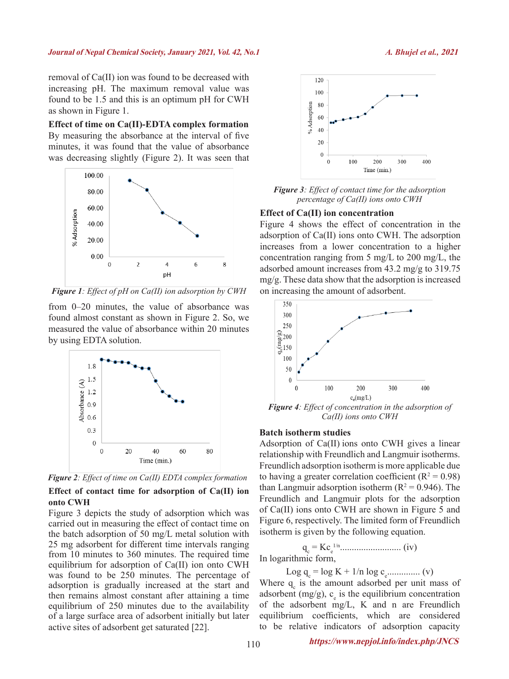#### **Journal of Nepal Chemical Society, January 2021, Vol. 42, No.1** *A. Bhujel et al.,* **2021**

removal of Ca(II) ion was found to be decreased with increasing pH. The maximum removal value was found to be 1.5 and this is an optimum pH for CWH as shown in Figure 1.

**Effect of time on Ca(II)-EDTA complex formation** By measuring the absorbance at the interval of five minutes, it was found that the value of absorbance was decreasing slightly (Figure 2). It was seen that



*Figure 1: Effect of pH on Ca(II) ion adsorption by CWH*

from 0–20 minutes, the value of absorbance was found almost constant as shown in Figure 2. So, we measured the value of absorbance within 20 minutes by using EDTA solution.



*Figure 2: Effect of time on Ca(II) EDTA complex formation*

### **Effect of contact time for adsorption of Ca(II) ion onto CWH**

Figure 3 depicts the study of adsorption which was carried out in measuring the effect of contact time on the batch adsorption of 50 mg/L metal solution with 25 mg adsorbent for different time intervals ranging from 10 minutes to 360 minutes. The required time equilibrium for adsorption of Ca(II) ion onto CWH was found to be 250 minutes. The percentage of adsorption is gradually increased at the start and then remains almost constant after attaining a time equilibrium of 250 minutes due to the availability of a large surface area of adsorbent initially but later active sites of adsorbent get saturated [22].



*Figure 3: Effect of contact time for the adsorption percentage of Ca(II) ions onto CWH*

#### **Effect of Ca(II) ion concentration**

Figure 4 shows the effect of concentration in the adsorption of Ca(II) ions onto CWH. The adsorption increases from a lower concentration to a higher concentration ranging from 5 mg/L to 200 mg/L, the adsorbed amount increases from 43.2 mg/g to 319.75 mg/g. These data show that the adsorption is increased on increasing the amount of adsorbent.



*Figure 4: Effect of concentration in the adsorption of Ca(II) ions onto CWH*

#### **Batch isotherm studies**

Adsorption of Ca(II) ions onto CWH gives a linear relationship with Freundlich and Langmuir isotherms. Freundlich adsorption isotherm is more applicable due to having a greater correlation coefficient ( $R^2 = 0.98$ ) than Langmuir adsorption isotherm  $(R^2 = 0.946)$ . The Freundlich and Langmuir plots for the adsorption of Ca(II) ions onto CWH are shown in Figure 5 and Figure 6, respectively. The limited form of Freundlich isotherm is given by the following equation.

qc = Kce 1/n.......................... (iv)

In logarithmic form,

$$
Log q_c = log K + 1/n log c_e
$$
............ (v)

Where  $q_c$  is the amount adsorbed per unit mass of adsorbent (mg/g),  $c_e$  is the equilibrium concentration of the adsorbent mg/L, K and n are Freundlich equilibrium coefficients, which are considered to be relative indicators of adsorption capacity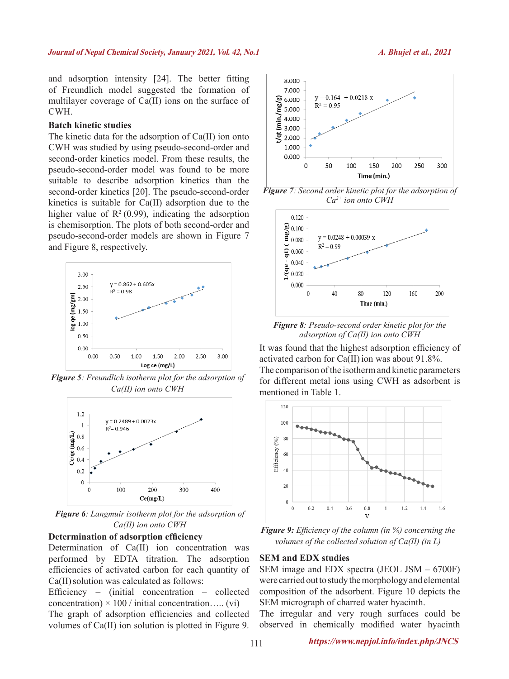and adsorption intensity [24]. The better fitting of Freundlich model suggested the formation of multilayer coverage of Ca(II) ions on the surface of CWH.

#### **Batch kinetic studies**

The kinetic data for the adsorption of Ca(II) ion onto CWH was studied by using pseudo-second-order and second-order kinetics model. From these results, the pseudo-second-order model was found to be more suitable to describe adsorption kinetics than the second-order kinetics [20]. The pseudo-second-order kinetics is suitable for Ca(II) adsorption due to the higher value of  $\mathbb{R}^2$  (0.99), indicating the adsorption is chemisorption. The plots of both second-order and pseudo-second-order models are shown in Figure 7 and Figure 8, respectively.



*Figure 5: Freundlich isotherm plot for the adsorption of Ca(II) ion onto CWH*



*Figure 6: Langmuir isotherm plot for the adsorption of Ca(II) ion onto CWH*

#### **Determination of adsorption efficiency**

Determination of Ca(II) ion concentration was performed by EDTA titration. The adsorption efficiencies of activated carbon for each quantity of Ca(II) solution was calculated as follows:

Efficiency =  $(inital concentration - collected)$ concentration)  $\times$  100 / initial concentration..... (vi)

The graph of adsorption efficiencies and collected volumes of Ca(II) ion solution is plotted in Figure 9.



*Figure 7: Second order kinetic plot for the adsorption of Ca2+ ion onto CWH*



*Figure 8: Pseudo-second order kinetic plot for the adsorption of Ca(II) ion onto CWH*

It was found that the highest adsorption efficiency of activated carbon for  $Ca(II)$  ion was about 91.8%. The comparison of the isotherm and kinetic parameters for different metal ions using CWH as adsorbent is mentioned in Table 1.



*Figure 9: Efficiency of the column (in %) concerning the volumes of the collected solution of Ca(II) (in L)*

#### **SEM and EDX studies**

SEM image and EDX spectra (JEOL JSM – 6700F) were carried out to study the morphology and elemental composition of the adsorbent. Figure 10 depicts the SEM micrograph of charred water hyacinth.

The irregular and very rough surfaces could be observed in chemically modified water hyacinth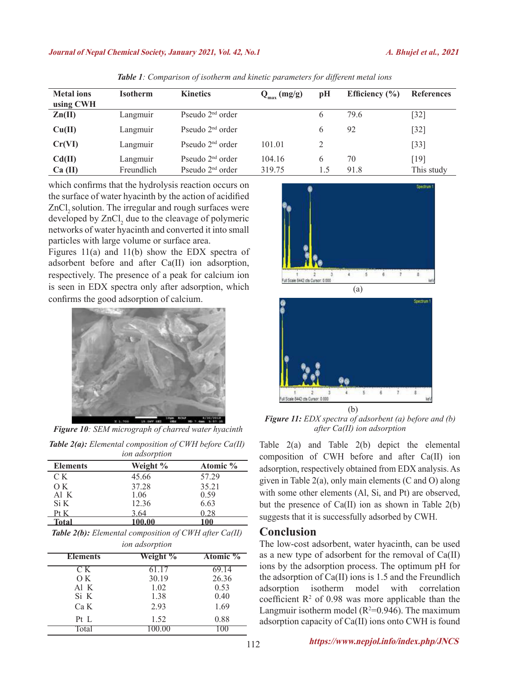#### **Journal of Nepal Chemical Society, January 2021, Vol. 42, No.1** *A. Bhujel et al.,* **<sup>2021</sup>**

| <b>Metal</b> ions<br>using CWH | <b>Isotherm</b> | <b>Kinetics</b>    | $Q_{\text{max}}$ (mg/g) | pH  | Efficiency $(\% )$ | <b>References</b>  |
|--------------------------------|-----------------|--------------------|-------------------------|-----|--------------------|--------------------|
| $\text{Zn(II)}$                | Langmuir        | Pseudo $2nd$ order |                         | 6   | 79.6               | $\lceil 32 \rceil$ |
| Cu(II)                         | Langmuir        | Pseudo $2nd$ order |                         | 6   | 92                 | $32]$              |
| Cr(VI)                         | Langmuir        | Pseudo $2nd$ order | 101.01                  | 2   |                    | $[33]$             |
| Cd(II)                         | Langmuir        | Pseudo $2nd$ order | 104.16                  | 6   | 70                 | $\lceil 19 \rceil$ |
| Ca (II)                        | Freundlich      | Pseudo $2nd$ order | 319.75                  | 1.5 | 91.8               | This study         |

*Table 1: Comparison of isotherm and kinetic parameters for different metal ions*

which confirms that the hydrolysis reaction occurs on the surface of water hyacinth by the action of acidified ZnCl<sub>2</sub> solution. The irregular and rough surfaces were developed by  $ZnCl<sub>2</sub>$  due to the cleavage of polymeric networks of water hyacinth and converted it into small particles with large volume or surface area.

Figures 11(a) and 11(b) show the EDX spectra of adsorbent before and after Ca(II) ion adsorption, respectively. The presence of a peak for calcium ion is seen in EDX spectra only after adsorption, which confirms the good adsorption of calcium.



*Figure 10: SEM micrograph of charred water hyacinth Table 2(a): Elemental composition of CWH before Ca(II)* 

| <i>ion adsorption</i> |          |          |  |  |  |
|-----------------------|----------|----------|--|--|--|
| <b>Elements</b>       | Weight % | Atomic % |  |  |  |
| C K                   | 45.66    | 57 29    |  |  |  |
| O K                   | 37.28    | 35.21    |  |  |  |
| Al K                  | 1.06     | 0.59     |  |  |  |
| Si K                  | 12.36    | 6.63     |  |  |  |
| Pt K                  | 3 64     | 0 28     |  |  |  |
| <b>Total</b>          | 100.00   |          |  |  |  |

| <b>Table 2(b):</b> Elemental composition of CWH after $Ca(II)$ |
|----------------------------------------------------------------|
| <i>ion adsorption</i>                                          |

|                 | . <b>.</b> |          |  |  |  |  |  |
|-----------------|------------|----------|--|--|--|--|--|
| <b>Elements</b> | Weight %   | Atomic % |  |  |  |  |  |
| CК              | 61.17      | 69.14    |  |  |  |  |  |
| O K             | 30.19      | 26.36    |  |  |  |  |  |
| Al K            | 1.02       | 0.53     |  |  |  |  |  |
| Si K            | 1.38       | 0.40     |  |  |  |  |  |
| Ca K            | 2.93       | 1.69     |  |  |  |  |  |
| $Pt$ L          | 1.52       | 0.88     |  |  |  |  |  |
| Total           | 00.00      |          |  |  |  |  |  |





*Figure 11: EDX spectra of adsorbent (a) before and (b) after Ca(II) ion adsorption* (b)

Table 2(a) and Table 2(b) depict the elemental composition of CWH before and after Ca(II) ion adsorption, respectively obtained from EDX analysis. As given in Table 2(a), only main elements (C and O) along with some other elements (Al, Si, and Pt) are observed, but the presence of Ca(II) ion as shown in Table 2(b) suggests that it is successfully adsorbed by CWH.

## **Conclusion**

The low-cost adsorbent, water hyacinth, can be used as a new type of adsorbent for the removal of Ca(II) ions by the adsorption process. The optimum pH for the adsorption of  $Ca(II)$  ions is 1.5 and the Freundlich adsorption isotherm model with correlation coefficient  $\mathbb{R}^2$  of 0.98 was more applicable than the Langmuir isotherm model  $(R^2=0.946)$ . The maximum adsorption capacity of Ca(II) ions onto CWH is found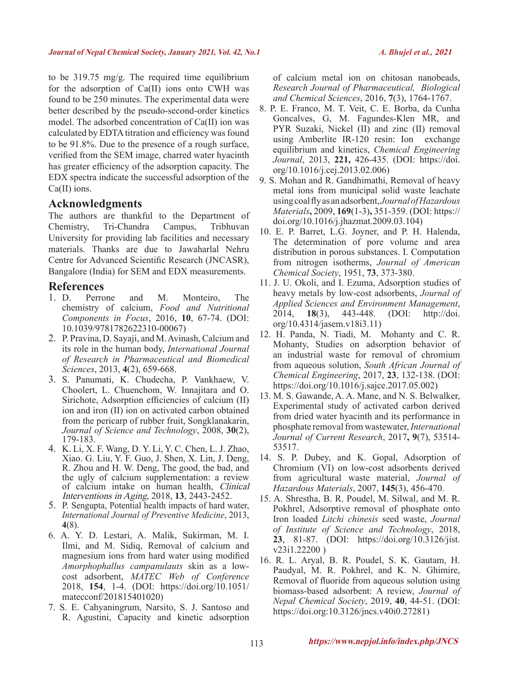to be 319.75 mg/g. The required time equilibrium for the adsorption of Ca(II) ions onto CWH was found to be 250 minutes. The experimental data were better described by the pseudo-second-order kinetics model. The adsorbed concentration of Ca(II) ion was calculated by EDTA titration and efficiency was found to be 91.8%. Due to the presence of a rough surface, verified from the SEM image, charred water hyacinth has greater efficiency of the adsorption capacity. The EDX spectra indicate the successful adsorption of the Ca(II) ions.

# **Acknowledgments**

The authors are thankful to the Department of Chemistry, Tri-Chandra Campus, Tribhuvan University for providing lab facilities and necessary materials. Thanks are due to Jawaharlal Nehru Centre for Advanced Scientific Research (JNCASR), Bangalore (India) for SEM and EDX measurements.

- **References**<br>1. D. Perrone and M. Monteiro, The chemistry of calcium, *Food and Nutritional Components in Focus*, 2016, **10**, 67-74. (DOI: 10.1039/9781782622310-00067)
- 2. P. Pravina, D. Sayaji, and M. Avinash, Calcium and its role in the human body, *International Journal of Research in Pharmaceutical and Biomedical Sciences*, 2013, **4**(2), 659-668.
- 3. S. Panumati, K. Chudecha, P. Vankhaew, V. Choolert, L. Chuenchom, W. Innajitara and O. Sirichote, Adsorption efficiencies of calcium (II) ion and iron (II) ion on activated carbon obtained from the pericarp of rubber fruit, Songklanakarin, *Journal of Science and Technology*, 2008, **30**(2), 179-183.
- 4. K. Li, X. F. Wang, D. Y. Li, Y. C. Chen, L. J. Zhao, Xiao. G. Liu, Y. F. Guo, J. Shen, X. Lin, J. Deng, R. Zhou and H. W. Deng, The good, the bad, and the ugly of calcium supplementation: a review of calcium intake on human health, Clinical Interventions in Aging, 2018, **13**, 2443-2452.
- 5. P. Sengupta, Potential health impacts of hard water, *International Journal of Preventive Medicine*, 2013, **4**(8).
- 6. A. Y. D. Lestari, A. Malik, Sukirman, M. I. Ilmi, and M. Sidiq, Removal of calcium and magnesium ions from hard water using modified *Amorphophallus campanulauts* skin as a lowcost adsorbent, *MATEC Web of Conference* 2018, **154**, 1-4. (DOI: https://doi.org/10.1051/ matecconf/201815401020)
- 7. S. E. Cahyaningrum, Narsito, S. J. Santoso and R. Agustini, Capacity and kinetic adsorption

of calcium metal ion on chitosan nanobeads, *Research Journal of Pharmaceutical, Biological and Chemical Sciences*, 2016, **7**(3), 1764-1767.

- 8. P. E. Franco, M. T. Veit, C. E. Borba, da Cunha Goncalves, G, M. Fagundes-Klen MR, and PYR Suzaki, Nickel (II) and zinc (II) removal using Amberlite IR-120 resin: Ion exchange equilibrium and kinetics, *Chemical Engineering Journal*, 2013, **221,** 426-435. (DOI: https://doi. org/10.1016/j.cej.2013.02.006)
- 9. S. Mohan and R. Gandhimathi, Removal of heavy metal ions from municipal solid waste leachate using coal fly as an adsorbent, *Journal of Hazardous Materials***,** 2009, **169**(1-3)**,** 351-359. (DOI: https:// doi.org/10.1016/j.jhazmat.2009.03.104)
- 10. E. P. Barret, L.G. Joyner, and P. H. Halenda, The determination of pore volume and area distribution in porous substances. I. Computation from nitrogen isotherms, *Journal of American Chemical Society*, 1951, **73**, 373-380.
- 11. J. U. Okoli, and I. Ezuma, Adsorption studies of heavy metals by low-cost adsorbents, *Journal of Applied Sciences and Environment Management*, 2014, **18**(3), 443-448. (DOI: http://doi. org/10.4314/jasem.v18i3.11)
- 12. H. Panda, N. Tiadi, M. Mohanty and C. R. Mohanty, Studies on adsorption behavior of an industrial waste for removal of chromium from aqueous solution, *South African Journal of Chemical Engineering*, 2017, **23**, 132-138. (DOI: https://doi.org/10.1016/j.sajce.2017.05.002)
- 13. M. S. Gawande, A. A. Mane, and N. S. Belwalker, Experimental study of activated carbon derived from dried water hyacinth and its performance in phosphate removal from wastewater, *International Journal of Current Research*, 2017**, 9**(7), 53514- 53517.
- 14. S. P. Dubey, and K. Gopal, Adsorption of Chromium (VI) on low-cost adsorbents derived from agricultural waste material, *Journal of Hazardous Materials*, 2007, **145**(3), 456-470.
- 15. A. Shrestha, B. R. Poudel, M. Silwal, and M. R. Pokhrel, Adsorptive removal of phosphate onto Iron loaded *Litchi chinesis* seed waste, *Journal of Institute of Science and Technology*, 2018, **23**, 81-87. (DOI: https://doi.org/10.3126/jist. v23i1.22200 )
- 16. R. L. Aryal, B. R. Poudel, S. K. Gautam, H. Paudyal, M. R. Pokhrel, and K. N. Ghimire, Removal of fluoride from aqueous solution using biomass-based adsorbent: A review, *Journal of Nepal Chemical Society*, 2019, **40**, 44-51. (DOI: https://doi.org:10.3126/jncs.v40i0.27281)